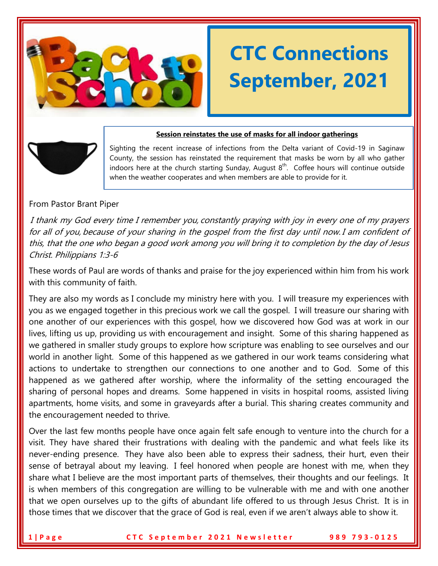

# **CTC Connections September, 2021**

# **Session reinstates the use of masks for all indoor gatherings**

Sighting the recent increase of infections from the Delta variant of Covid-19 in Saginaw County, the session has reinstated the requirement that masks be worn by all who gather indoors here at the church starting Sunday, August  $8<sup>th</sup>$ . Coffee hours will continue outside when the weather cooperates and when members are able to provide for it.

#### From Pastor Brant Piper

I thank my God every time I remember you, constantly praying with joy in every one of my prayers for all of you, because of your sharing in the gospel from the first day until now. I am confident of this, that the one who began a good work among you will bring it to completion by the day of Jesus Christ. Philippians 1:3-6

These words of Paul are words of thanks and praise for the joy experienced within him from his work with this community of faith.

They are also my words as I conclude my ministry here with you. I will treasure my experiences with you as we engaged together in this precious work we call the gospel. I will treasure our sharing with one another of our experiences with this gospel, how we discovered how God was at work in our lives, lifting us up, providing us with encouragement and insight. Some of this sharing happened as we gathered in smaller study groups to explore how scripture was enabling to see ourselves and our world in another light. Some of this happened as we gathered in our work teams considering what actions to undertake to strengthen our connections to one another and to God. Some of this happened as we gathered after worship, where the informality of the setting encouraged the sharing of personal hopes and dreams. Some happened in visits in hospital rooms, assisted living apartments, home visits, and some in graveyards after a burial. This sharing creates community and the encouragement needed to thrive.

Over the last few months people have once again felt safe enough to venture into the church for a visit. They have shared their frustrations with dealing with the pandemic and what feels like its never-ending presence. They have also been able to express their sadness, their hurt, even their sense of betrayal about my leaving. I feel honored when people are honest with me, when they share what I believe are the most important parts of themselves, their thoughts and our feelings. It is when members of this congregation are willing to be vulnerable with me and with one another that we open ourselves up to the gifts of abundant life offered to us through Jesus Christ. It is in those times that we discover that the grace of God is real, even if we aren't always able to show it.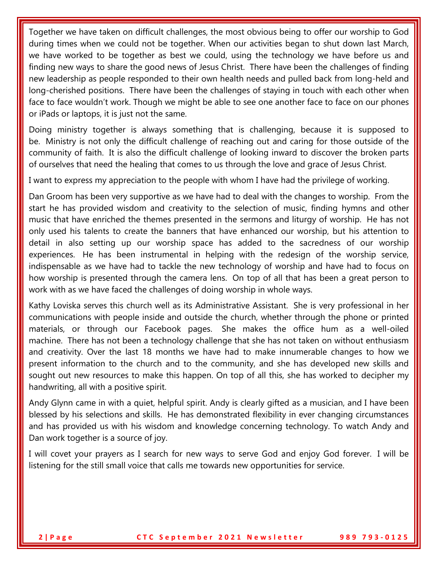Together we have taken on difficult challenges, the most obvious being to offer our worship to God during times when we could not be together. When our activities began to shut down last March, we have worked to be together as best we could, using the technology we have before us and finding new ways to share the good news of Jesus Christ. There have been the challenges of finding new leadership as people responded to their own health needs and pulled back from long-held and long-cherished positions. There have been the challenges of staying in touch with each other when face to face wouldn't work. Though we might be able to see one another face to face on our phones or iPads or laptops, it is just not the same.

Doing ministry together is always something that is challenging, because it is supposed to be. Ministry is not only the difficult challenge of reaching out and caring for those outside of the community of faith. It is also the difficult challenge of looking inward to discover the broken parts of ourselves that need the healing that comes to us through the love and grace of Jesus Christ.

I want to express my appreciation to the people with whom I have had the privilege of working.

Dan Groom has been very supportive as we have had to deal with the changes to worship. From the start he has provided wisdom and creativity to the selection of music, finding hymns and other music that have enriched the themes presented in the sermons and liturgy of worship. He has not only used his talents to create the banners that have enhanced our worship, but his attention to detail in also setting up our worship space has added to the sacredness of our worship experiences. He has been instrumental in helping with the redesign of the worship service, indispensable as we have had to tackle the new technology of worship and have had to focus on how worship is presented through the camera lens. On top of all that has been a great person to work with as we have faced the challenges of doing worship in whole ways.

Kathy Loviska serves this church well as its Administrative Assistant. She is very professional in her communications with people inside and outside the church, whether through the phone or printed materials, or through our Facebook pages. She makes the office hum as a well-oiled machine. There has not been a technology challenge that she has not taken on without enthusiasm and creativity. Over the last 18 months we have had to make innumerable changes to how we present information to the church and to the community, and she has developed new skills and sought out new resources to make this happen. On top of all this, she has worked to decipher my handwriting, all with a positive spirit.

Andy Glynn came in with a quiet, helpful spirit. Andy is clearly gifted as a musician, and I have been blessed by his selections and skills. He has demonstrated flexibility in ever changing circumstances and has provided us with his wisdom and knowledge concerning technology. To watch Andy and Dan work together is a source of joy.

I will covet your prayers as I search for new ways to serve God and enjoy God forever. I will be listening for the still small voice that calls me towards new opportunities for service.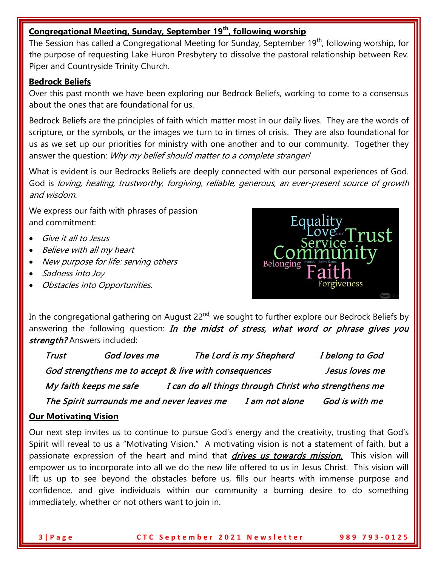# **Congregational Meeting, Sunday, September 19th, following worship**

The Session has called a Congregational Meeting for Sunday, September 19<sup>th</sup>, following worship, for the purpose of requesting Lake Huron Presbytery to dissolve the pastoral relationship between Rev. Piper and Countryside Trinity Church.

### **Bedrock Beliefs**

Over this past month we have been exploring our Bedrock Beliefs, working to come to a consensus about the ones that are foundational for us.

Bedrock Beliefs are the principles of faith which matter most in our daily lives. They are the words of scripture, or the symbols, or the images we turn to in times of crisis. They are also foundational for us as we set up our priorities for ministry with one another and to our community. Together they answer the question: Why my belief should matter to a complete stranger!

What is evident is our Bedrocks Beliefs are deeply connected with our personal experiences of God. God is loving, healing, trustworthy, forgiving, reliable, generous, an ever-present source of growth and wisdom.

We express our faith with phrases of passion and commitment:

- Give it all to Jesus
- Believe with all my heart
- New purpose for life: serving others
- Sadness into Joy
- Obstacles into Opportunities.



In the congregational gathering on August  $22^{nd}$ , we sought to further explore our Bedrock Beliefs by answering the following question: In the midst of stress, what word or phrase gives you strength? Answers included:

| <b>Trust</b>                                                            | God loves me |                                                       | The Lord is my Shepherd | I belong to God |  |
|-------------------------------------------------------------------------|--------------|-------------------------------------------------------|-------------------------|-----------------|--|
| God strengthens me to accept & live with consequences<br>Jesus loves me |              |                                                       |                         |                 |  |
| My faith keeps me safe                                                  |              | I can do all things through Christ who strengthens me |                         |                 |  |
|                                                                         |              | The Spirit surrounds me and never leaves me           | I am not alone          | God is with me  |  |

## **Our Motivating Vision**

Our next step invites us to continue to pursue God's energy and the creativity, trusting that God's Spirit will reveal to us a "Motivating Vision." A motivating vision is not a statement of faith, but a passionate expression of the heart and mind that *drives us towards mission*. This vision will empower us to incorporate into all we do the new life offered to us in Jesus Christ. This vision will lift us up to see beyond the obstacles before us, fills our hearts with immense purpose and confidence, and give individuals within our community a burning desire to do something immediately, whether or not others want to join in.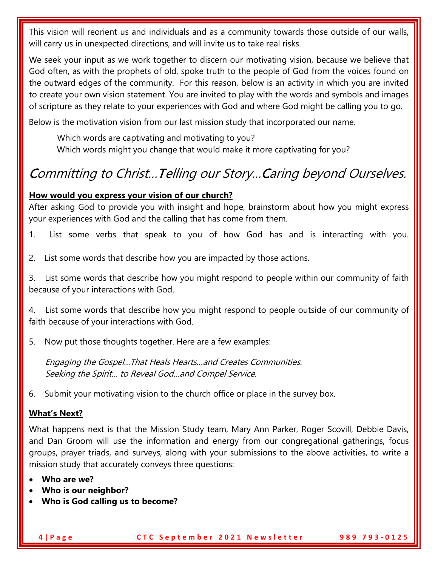This vision will reorient us and individuals and as a community towards those outside of our walls, will carry us in unexpected directions, and will invite us to take real risks.

We seek your input as we work together to discern our motivating vision, because we believe that God often, as with the prophets of old, spoke truth to the people of God from the voices found on the outward edges of the community. For this reason, below is an activity in which you are invited to create your own vision statement. You are invited to play with the words and symbols and images of scripture as they relate to your experiences with God and where God might be calling you to go.

Below is the motivation vision from our last mission study that incorporated our name.

 Which words are captivating and motivating to you? Which words might you change that would make it more captivating for you?

# Committing to Christ…Telling our Story…Caring beyond Ourselves.

#### **How would you express your vision of our church?**

After asking God to provide you with insight and hope, brainstorm about how you might express your experiences with God and the calling that has come from them.

- 1. List some verbs that speak to you of how God has and is interacting with you.
- 2. List some words that describe how you are impacted by those actions.

3. List some words that describe how you might respond to people within our community of faith because of your interactions with God.

4. List some words that describe how you might respond to people outside of our community of faith because of your interactions with God.

5. Now put those thoughts together. Here are a few examples:

Engaging the Gospel…That Heals Hearts…and Creates Communities. Seeking the Spirit… to Reveal God…and Compel Service.

6. Submit your motivating vision to the church office or place in the survey box.

## **What's Next?**

What happens next is that the Mission Study team, Mary Ann Parker, Roger Scovill, Debbie Davis, and Dan Groom will use the information and energy from our congregational gatherings, focus groups, prayer triads, and surveys, along with your submissions to the above activities, to write a mission study that accurately conveys three questions:

- **Who are we?**
- **Who is our neighbor?**
- **Who is God calling us to become?**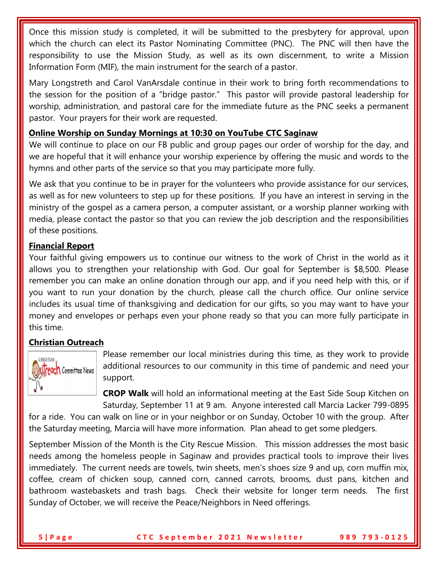Once this mission study is completed, it will be submitted to the presbytery for approval, upon which the church can elect its Pastor Nominating Committee (PNC). The PNC will then have the responsibility to use the Mission Study, as well as its own discernment, to write a Mission Information Form (MIF), the main instrument for the search of a pastor.

Mary Longstreth and Carol VanArsdale continue in their work to bring forth recommendations to the session for the position of a "bridge pastor." This pastor will provide pastoral leadership for worship, administration, and pastoral care for the immediate future as the PNC seeks a permanent pastor. Your prayers for their work are requested.

## **Online Worship on Sunday Mornings at 10:30 on YouTube CTC Saginaw**

We will continue to place on our FB public and group pages our order of worship for the day, and we are hopeful that it will enhance your worship experience by offering the music and words to the hymns and other parts of the service so that you may participate more fully.

We ask that you continue to be in prayer for the volunteers who provide assistance for our services, as well as for new volunteers to step up for these positions. If you have an interest in serving in the ministry of the gospel as a camera person, a computer assistant, or a worship planner working with media, please contact the pastor so that you can review the job description and the responsibilities of these positions.

# **Financial Report**

Your faithful giving empowers us to continue our witness to the work of Christ in the world as it allows you to strengthen your relationship with God. Our goal for September is \$8,500. Please remember you can make an online donation through our app, and if you need help with this, or if you want to run your donation by the church, please call the church office. Our online service includes its usual time of thanksgiving and dedication for our gifts, so you may want to have your money and envelopes or perhaps even your phone ready so that you can more fully participate in this time.

# **Christian Outreach**



Please remember our local ministries during this time, as they work to provide additional resources to our community in this time of pandemic and need your support.

**CROP Walk** will hold an informational meeting at the East Side Soup Kitchen on Saturday, September 11 at 9 am. Anyone interested call Marcia Lacker 799-0895

for a ride. You can walk on line or in your neighbor or on Sunday, October 10 with the group. After the Saturday meeting, Marcia will have more information. Plan ahead to get some pledgers.

September Mission of the Month is the City Rescue Mission. This mission addresses the most basic needs among the homeless people in Saginaw and provides practical tools to improve their lives immediately. The current needs are towels, twin sheets, men's shoes size 9 and up, corn muffin mix, coffee, cream of chicken soup, canned corn, canned carrots, brooms, dust pans, kitchen and bathroom wastebaskets and trash bags. Check their website for longer term needs. The first Sunday of October, we will receive the Peace/Neighbors in Need offerings.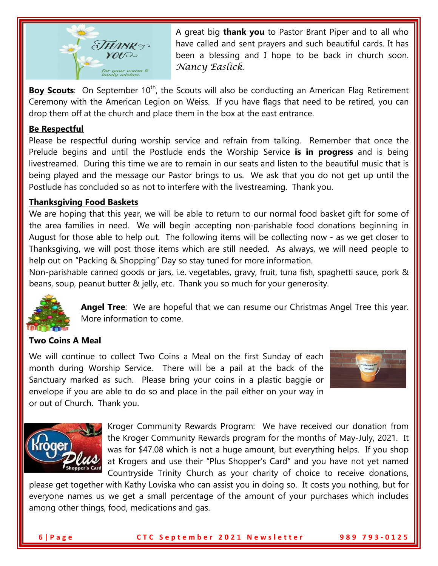

A great big **thank you** to Pastor Brant Piper and to all who have called and sent prayers and such beautiful cards. It has been a blessing and I hope to be back in church soon. *Nancy Easlick*.

**Boy Scouts**: On September 10<sup>th</sup>, the Scouts will also be conducting an American Flag Retirement Ceremony with the American Legion on Weiss. If you have flags that need to be retired, you can drop them off at the church and place them in the box at the east entrance.

### **Be Respectful**

Please be respectful during worship service and refrain from talking. Remember that once the Prelude begins and until the Postlude ends the Worship Service **is in progress** and is being livestreamed. During this time we are to remain in our seats and listen to the beautiful music that is being played and the message our Pastor brings to us. We ask that you do not get up until the Postlude has concluded so as not to interfere with the livestreaming. Thank you.

#### **Thanksgiving Food Baskets**

We are hoping that this year, we will be able to return to our normal food basket gift for some of the area families in need. We will begin accepting non-parishable food donations beginning in August for those able to help out. The following items will be collecting now - as we get closer to Thanksgiving, we will post those items which are still needed. As always, we will need people to help out on "Packing & Shopping" Day so stay tuned for more information.

Non-parishable canned goods or jars, i.e. vegetables, gravy, fruit, tuna fish, spaghetti sauce, pork & beans, soup, peanut butter & jelly, etc. Thank you so much for your generosity.



**Angel Tree**: We are hopeful that we can resume our Christmas Angel Tree this year. More information to come.

#### **Two Coins A Meal**

We will continue to collect Two Coins a Meal on the first Sunday of each month during Worship Service. There will be a pail at the back of the Sanctuary marked as such. Please bring your coins in a plastic baggie or envelope if you are able to do so and place in the pail either on your way in or out of Church. Thank you.





Kroger Community Rewards Program: We have received our donation from the Kroger Community Rewards program for the months of May-July, 2021. It was for \$47.08 which is not a huge amount, but everything helps. If you shop at Krogers and use their "Plus Shopper's Card" and you have not yet named Countryside Trinity Church as your charity of choice to receive donations,

please get together with Kathy Loviska who can assist you in doing so. It costs you nothing, but for everyone names us we get a small percentage of the amount of your purchases which includes among other things, food, medications and gas.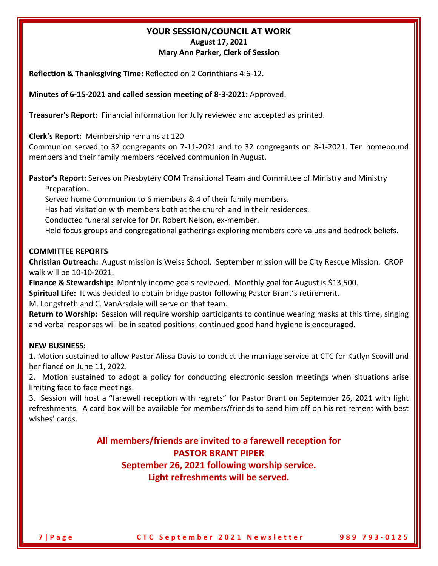#### **YOUR SESSION/COUNCIL AT WORK August 17, 2021 Mary Ann Parker, Clerk of Session**

**Reflection & Thanksgiving Time:** Reflected on 2 Corinthians 4:6-12.

**Minutes of 6-15-2021 and called session meeting of 8-3-2021:** Approved.

**Treasurer's Report:** Financial information for July reviewed and accepted as printed.

**Clerk's Report:** Membership remains at 120.

Communion served to 32 congregants on 7-11-2021 and to 32 congregants on 8-1-2021. Ten homebound members and their family members received communion in August.

**Pastor's Report:** Serves on Presbytery COM Transitional Team and Committee of Ministry and Ministry Preparation.

Served home Communion to 6 members & 4 of their family members.

Has had visitation with members both at the church and in their residences.

Conducted funeral service for Dr. Robert Nelson, ex-member.

Held focus groups and congregational gatherings exploring members core values and bedrock beliefs.

#### **COMMITTEE REPORTS**

**Christian Outreach:** August mission is Weiss School. September mission will be City Rescue Mission. CROP walk will be 10-10-2021.

Finance & Stewardship: Monthly income goals reviewed. Monthly goal for August is \$13,500.

**Spiritual Life:** It was decided to obtain bridge pastor following Pastor Brant's retirement.

M. Longstreth and C. VanArsdale will serve on that team.

**Return to Worship:** Session will require worship participants to continue wearing masks at this time, singing and verbal responses will be in seated positions, continued good hand hygiene is encouraged.

#### **NEW BUSINESS:**

1**.** Motion sustained to allow Pastor Alissa Davis to conduct the marriage service at CTC for Katlyn Scovill and her fiancé on June 11, 2022.

2. Motion sustained to adopt a policy for conducting electronic session meetings when situations arise limiting face to face meetings.

3. Session will host a "farewell reception with regrets" for Pastor Brant on September 26, 2021 with light refreshments. A card box will be available for members/friends to send him off on his retirement with best wishes' cards.

> **All members/friends are invited to a farewell reception for PASTOR BRANT PIPER September 26, 2021 following worship service. Light refreshments will be served.**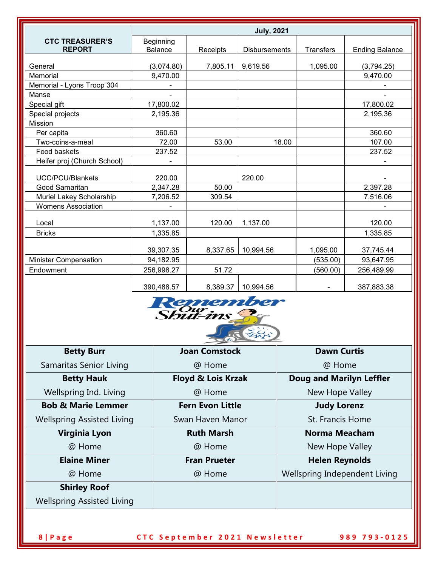|                                         | <b>July, 2021</b>    |          |                      |                  |                       |
|-----------------------------------------|----------------------|----------|----------------------|------------------|-----------------------|
| <b>CTC TREASURER'S</b><br><b>REPORT</b> | Beginning<br>Balance | Receipts | <b>Disbursements</b> | <b>Transfers</b> | <b>Ending Balance</b> |
|                                         |                      |          |                      |                  |                       |
| General                                 | (3,074.80)           | 7,805.11 | 9,619.56             | 1,095.00         | (3,794.25)            |
| Memorial                                | 9,470.00             |          |                      |                  | 9,470.00              |
| Memorial - Lyons Troop 304              |                      |          |                      |                  |                       |
| Manse                                   |                      |          |                      |                  |                       |
| Special gift                            | 17,800.02            |          |                      |                  | 17,800.02             |
| Special projects                        | 2,195.36             |          |                      |                  | 2,195.36              |
| <b>Mission</b>                          |                      |          |                      |                  |                       |
| Per capita                              | 360.60               |          |                      |                  | 360.60                |
| Two-coins-a-meal                        | 72.00                | 53.00    | 18.00                |                  | 107.00                |
| Food baskets                            | 237.52               |          |                      |                  | 237.52                |
| Heifer proj (Church School)             |                      |          |                      |                  |                       |
| UCC/PCU/Blankets                        | 220.00               |          | 220.00               |                  |                       |
| Good Samaritan                          | 2,347.28             | 50.00    |                      |                  | 2,397.28              |
| Muriel Lakey Scholarship                | 7,206.52             | 309.54   |                      |                  | 7,516.06              |
| <b>Womens Association</b>               |                      |          |                      |                  |                       |
| Local                                   | 1,137.00             | 120.00   | 1,137.00             |                  | 120.00                |
| <b>Bricks</b>                           | 1,335.85             |          |                      |                  | 1,335.85              |
|                                         |                      |          |                      |                  |                       |
|                                         | 39,307.35            | 8,337.65 | 10,994.56            | 1,095.00         | 37,745.44             |
| Minister Compensation                   | 94,182.95            |          |                      | (535.00)         | 93,647.95             |
| Endowment                               | 256,998.27           | 51.72    |                      | (560.00)         | 256,489.99            |
|                                         | 390,488.57           | 8,389.37 | 10,994.56            |                  | 387,883.38            |



| <b>Betty Burr</b>                 | <b>Joan Comstock</b>          | <b>Dawn Curtis</b>              |  |  |
|-----------------------------------|-------------------------------|---------------------------------|--|--|
| Samaritas Senior Living           | @ Home                        | @ Home                          |  |  |
| <b>Betty Hauk</b>                 | <b>Floyd &amp; Lois Krzak</b> | <b>Doug and Marilyn Leffler</b> |  |  |
| Wellspring Ind. Living            | @ Home                        | New Hope Valley                 |  |  |
| <b>Bob &amp; Marie Lemmer</b>     | <b>Fern Evon Little</b>       | <b>Judy Lorenz</b>              |  |  |
| <b>Wellspring Assisted Living</b> | Swan Haven Manor              | St. Francis Home                |  |  |
| <b>Virginia Lyon</b>              | <b>Ruth Marsh</b>             | <b>Norma Meacham</b>            |  |  |
| @ Home                            | @ Home                        | New Hope Valley                 |  |  |
| <b>Elaine Miner</b>               | <b>Fran Prueter</b>           | <b>Helen Reynolds</b>           |  |  |
| @ Home                            | @ Home                        | Wellspring Independent Living   |  |  |
| <b>Shirley Roof</b>               |                               |                                 |  |  |
| <b>Wellspring Assisted Living</b> |                               |                                 |  |  |

**8 | Page CTC September 2021 Newsletter 989 793 - 0125**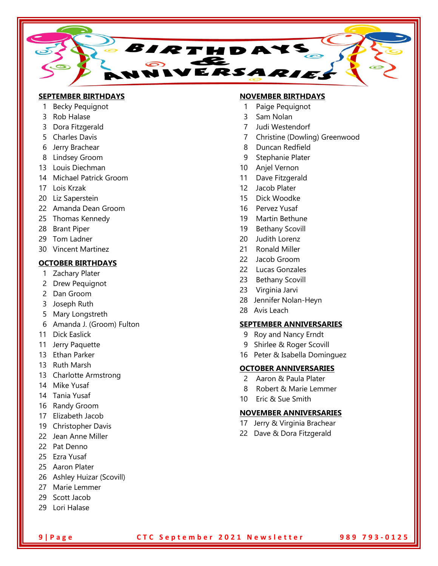

#### **SEPTEMBER BIRTHDAYS**

- 1 Becky Pequignot
- 3 Rob Halase
- 3 Dora Fitzgerald
- 5 Charles Davis
- 6 Jerry Brachear
- 8 Lindsey Groom
- 13 Louis Diechman
- 14 Michael Patrick Groom
- 17 Lois Krzak
- 20 Liz Saperstein
- 22 Amanda Dean Groom
- 25 Thomas Kennedy
- 28 Brant Piper
- 29 Tom Ladner
- 30 Vincent Martinez

#### **OCTOBER BIRTHDAYS**

- 1 Zachary Plater
- 2 Drew Pequignot
- 2 Dan Groom
- 3 Joseph Ruth
- 5 Mary Longstreth
- 6 Amanda J. (Groom) Fulton
- 11 Dick Easlick
- 11 Jerry Paquette
- 13 Ethan Parker
- 13 Ruth Marsh
- 13 Charlotte Armstrong
- 14 Mike Yusaf
- 14 Tania Yusaf
- 16 Randy Groom
- 17 Elizabeth Jacob
- 19 Christopher Davis
- 22 Jean Anne Miller
- 22 Pat Denno
- 25 Ezra Yusaf
- 25 Aaron Plater
- 26 Ashley Huizar (Scovill)
- 27 Marie Lemmer
- 29 Scott Jacob
- 29 Lori Halase

#### **NOVEMBER BIRTHDAYS**

- 1 Paige Pequignot
- 3 Sam Nolan
- 7 Judi Westendorf
- 7 Christine (Dowling) Greenwood
- 8 Duncan Redfield
- 9 Stephanie Plater
- 10 Anjel Vernon
- 11 Dave Fitzgerald
- 12 Jacob Plater
- 15 Dick Woodke
- 16 Pervez Yusaf
- 19 Martin Bethune
- 19 Bethany Scovill
- 20 Judith Lorenz
- 21 Ronald Miller
- 22 Jacob Groom
- 22 Lucas Gonzales
- 23 Bethany Scovill
- 23 Virginia Jarvi
- 28 Jennifer Nolan-Heyn
- 28 Avis Leach

#### **SEPTEMBER ANNIVERSARIES**

- 9 Roy and Nancy Erndt
- 9 Shirlee & Roger Scovill
- 16 Peter & Isabella Dominguez

#### **OCTOBER ANNIVERSARIES**

- 2 Aaron & Paula Plater
- 8 Robert & Marie Lemmer
- 10 Eric & Sue Smith

#### **NOVEMBER ANNIVERSARIES**

- 17 Jerry & Virginia Brachear
- 22 Dave & Dora Fitzgerald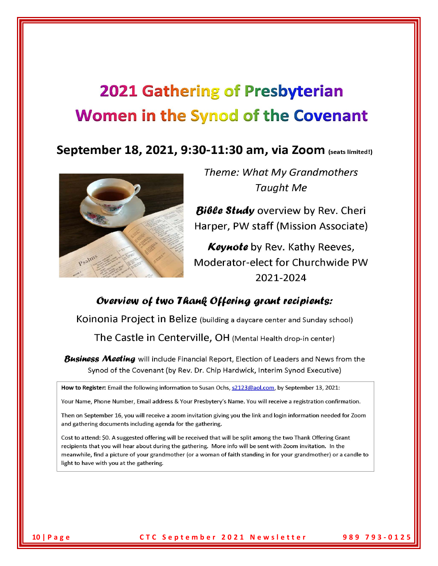# **2021 Gathering of Presbyterian Women in the Synod of the Covenant**

# September 18, 2021, 9:30-11:30 am, via Zoom (seats limited!)



Theme: What My Grandmothers **Taught Me** 

Bible Study overview by Rev. Cheri Harper, PW staff (Mission Associate)

Keynote by Rev. Kathy Reeves, Moderator-elect for Churchwide PW 2021-2024

# Overview of two Thank Offering grant recipients:

Koinonia Project in Belize (building a daycare center and Sunday school)

The Castle in Centerville, OH (Mental Health drop-in center)

Business Meeting will include Financial Report, Election of Leaders and News from the Synod of the Covenant (by Rev. Dr. Chip Hardwick, Interim Synod Executive)

How to Register: Email the following information to Susan Ochs, s2123@aol.com, by September 13, 2021:

Your Name, Phone Number, Email address & Your Presbytery's Name. You will receive a registration confirmation.

Then on September 16, you will receive a zoom invitation giving you the link and login information needed for Zoom and gathering documents including agenda for the gathering.

Cost to attend: \$0. A suggested offering will be received that will be split among the two Thank Offering Grant recipients that you will hear about during the gathering. More info will be sent with Zoom invitation. In the meanwhile, find a picture of your grandmother (or a woman of faith standing in for your grandmother) or a candle to light to have with you at the gathering.